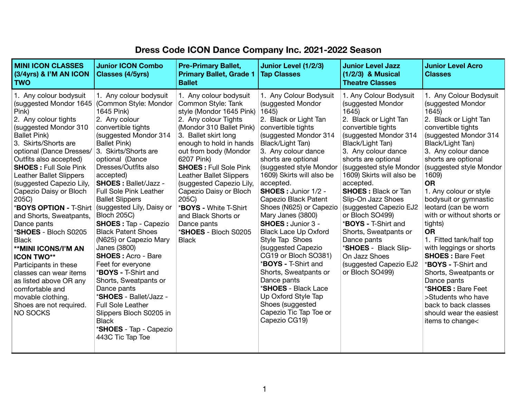## **Dress Code ICON Dance Company Inc. 2021-2022 Season**

| <b>MINI ICON CLASSES</b><br>$(3/4yrs)$ & I'M AN ICON<br><b>TWO</b>                                                                                                                                                                                                                                                                                                                                                                                                                                                                                                                                                                                                                          | <b>Junior ICON Combo</b><br><b>Classes (4/5yrs)</b>                                                                                                                                                                                                                                                                                                                                                                                                                                                                                                                                                                                                                                                                                                                      | <b>Pre-Primary Ballet,</b><br><b>Primary Ballet, Grade 1</b><br><b>Ballet</b>                                                                                                                                                                                                                                                                                                                                                                                          | Junior Level (1/2/3)<br><b>Tap Classes</b>                                                                                                                                                                                                                                                                                                                                                                                                                                                                                                                                                                                                                                                 | <b>Junior Level Jazz</b><br>$(1/2/3)$ & Musical<br><b>Theatre Classes</b>                                                                                                                                                                                                                                                                                                                                                                                                                                                        | <b>Junior Level Acro</b><br><b>Classes</b>                                                                                                                                                                                                                                                                                                                                                                                                                                                                                                                                                                                                                        |
|---------------------------------------------------------------------------------------------------------------------------------------------------------------------------------------------------------------------------------------------------------------------------------------------------------------------------------------------------------------------------------------------------------------------------------------------------------------------------------------------------------------------------------------------------------------------------------------------------------------------------------------------------------------------------------------------|--------------------------------------------------------------------------------------------------------------------------------------------------------------------------------------------------------------------------------------------------------------------------------------------------------------------------------------------------------------------------------------------------------------------------------------------------------------------------------------------------------------------------------------------------------------------------------------------------------------------------------------------------------------------------------------------------------------------------------------------------------------------------|------------------------------------------------------------------------------------------------------------------------------------------------------------------------------------------------------------------------------------------------------------------------------------------------------------------------------------------------------------------------------------------------------------------------------------------------------------------------|--------------------------------------------------------------------------------------------------------------------------------------------------------------------------------------------------------------------------------------------------------------------------------------------------------------------------------------------------------------------------------------------------------------------------------------------------------------------------------------------------------------------------------------------------------------------------------------------------------------------------------------------------------------------------------------------|----------------------------------------------------------------------------------------------------------------------------------------------------------------------------------------------------------------------------------------------------------------------------------------------------------------------------------------------------------------------------------------------------------------------------------------------------------------------------------------------------------------------------------|-------------------------------------------------------------------------------------------------------------------------------------------------------------------------------------------------------------------------------------------------------------------------------------------------------------------------------------------------------------------------------------------------------------------------------------------------------------------------------------------------------------------------------------------------------------------------------------------------------------------------------------------------------------------|
| 1. Any colour bodysuit<br>(suggested Mondor 1645)<br>Pink)<br>2. Any colour tights<br>(suggested Mondor 310)<br><b>Ballet Pink)</b><br>3. Skirts/Shorts are<br>optional (Dance Dresses/<br>Outfits also accepted)<br><b>SHOES: Full Sole Pink</b><br><b>Leather Ballet Slippers</b><br>(suggested Capezio Lily,<br>Capezio Daisy or Bloch<br>205C)<br><b>*BOYS OPTION - T-Shirt</b><br>and Shorts, Sweatpants,<br>Dance pants<br><b>*SHOES - Bloch S0205</b><br><b>Black</b><br><b>**MINI ICONS/I'M AN</b><br><b>ICON TWO**</b><br>Participants in these<br>classes can wear items<br>as listed above OR any<br>comfortable and<br>movable clothing.<br>Shoes are not required.<br>NO SOCKS | 1. Any colour bodysuit<br>(Common Style: Mondor<br>1645 Pink)<br>2. Any colour<br>convertible tights<br>(suggested Mondor 314)<br><b>Ballet Pink)</b><br>3. Skirts/Shorts are<br>optional (Dance<br>Dresses/Outfits also<br>accepted)<br><b>SHOES: Ballet/Jazz -</b><br><b>Full Sole Pink Leather</b><br><b>Ballet Slippers</b><br>(suggested Lily, Daisy or<br><b>Bloch 205C)</b><br><b>SHOES: Tap - Capezio</b><br><b>Black Patent Shoes</b><br>(N625) or Capezio Mary<br>Janes (3800)<br><b>SHOES: Acro - Bare</b><br>Feet for everyone<br>* <b>BOYS</b> - T-Shirt and<br>Shorts, Sweatpants or<br>Dance pants<br>* <b>SHOES</b> - Ballet/Jazz -<br><b>Full Sole Leather</b><br>Slippers Bloch S0205 in<br><b>Black</b><br>*SHOES - Tap - Capezio<br>443C Tic Tap Toe | 1. Any colour bodysuit<br>Common Style: Tank<br>style (Mondor 1645 Pink)<br>2. Any colour Tights<br>(Mondor 310 Ballet Pink)<br>3. Ballet skirt long<br>enough to hold in hands<br>out from body (Mondor<br>6207 Pink)<br><b>SHOES: Full Sole Pink</b><br><b>Leather Ballet Slippers</b><br>(suggested Capezio Lily,<br>Capezio Daisy or Bloch<br>205C)<br>* <b>BOYS -</b> White T-Shirt<br>and Black Shorts or<br>Dance pants<br>*SHOES - Bloch S0205<br><b>Black</b> | 1. Any Colour Bodysuit<br>(suggested Mondor<br>1645)<br>2. Black or Light Tan<br>convertible tights<br>(suggested Mondor 314)<br>Black/Light Tan)<br>3. Any colour dance<br>shorts are optional<br>(suggested style Mondor<br>1609) Skirts will also be<br>accepted.<br><b>SHOES: Junior 1/2 -</b><br>Capezio Black Patent<br>Shoes (N625) or Capezio<br>Mary Janes (3800)<br><b>SHOES: Junior 3 -</b><br><b>Black Lace Up Oxford</b><br>Style Tap Shoes<br>(suggested Capezio<br>CG19 or Bloch SO381)<br>* <b>BOYS - T-Shirt and</b><br>Shorts, Sweatpants or<br>Dance pants<br>*SHOES - Black Lace<br>Up Oxford Style Tap<br>Shoes (suggested<br>Capezio Tic Tap Toe or<br>Capezio CG19) | 1. Any Colour Bodysuit<br>(suggested Mondor<br>1645)<br>2. Black or Light Tan<br>convertible tights<br>(suggested Mondor 314<br>Black/Light Tan)<br>3. Any colour dance<br>shorts are optional<br>(suggested style Mondor<br>1609) Skirts will also be<br>accepted.<br><b>SHOES: Black or Tan</b><br>Slip-On Jazz Shoes<br>(suggested Capezio EJ2<br>or Bloch SO499)<br><b>*BOYS - T-Shirt and</b><br>Shorts, Sweatpants or<br>Dance pants<br>*SHOES - Black Slip-<br>On Jazz Shoes<br>(suggested Capezio EJ2<br>or Bloch SO499) | . Any Colour Bodysuit<br>(suggested Mondor<br>1645)<br>2. Black or Light Tan<br>convertible tights<br>(suggested Mondor 314)<br>Black/Light Tan)<br>3. Any colour dance<br>shorts are optional<br>(suggested style Mondor<br>1609)<br><b>OR</b><br>1. Any colour or style<br>bodysuit or gymnastic<br>leotard (can be worn<br>with or without shorts or<br>tights)<br><b>OR</b><br>1. Fitted tank/half top<br>with leggings or shorts<br><b>SHOES: Bare Feet</b><br>* <b>BOYS</b> - T-Shirt and<br>Shorts, Sweatpants or<br>Dance pants<br>* <b>SHOES</b> : Bare Feet<br>>Students who have<br>back to back classes<br>should wear the easiest<br>items to change |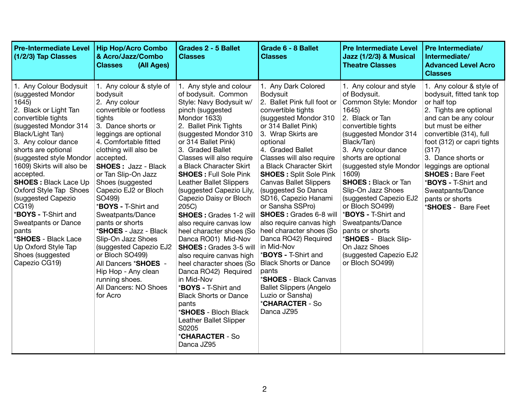| <b>Pre-Intermediate Level</b><br>$(1/2/3)$ Tap Classes                                                                                                                                                                                                                                                                                                                                                                                                                                                                 | <b>Hip Hop/Acro Combo</b><br>& Acro/Jazz/Combo<br>(All Ages)<br><b>Classes</b>                                                                                                                                                                                                                                                                                                                                                                                                                                                                                                                      | <b>Grades 2 - 5 Ballet</b><br><b>Classes</b>                                                                                                                                                                                                                                                                                                                                                                                                                                                                                                                                                                                                                                                                                                                                                                                                                   | Grade 6 - 8 Ballet<br><b>Classes</b>                                                                                                                                                                                                                                                                                                                                                                                                                                                                                                                                                                                                                                                                        | <b>Pre Intermediate Level</b><br>Jazz (1/2/3) & Musical<br><b>Theatre Classes</b>                                                                                                                                                                                                                                                                                                                                                                                                                       | <b>Pre Intermediate/</b><br>Intermediate/<br><b>Advanced Level Acro</b><br><b>Classes</b>                                                                                                                                                                                                                                                                                                     |
|------------------------------------------------------------------------------------------------------------------------------------------------------------------------------------------------------------------------------------------------------------------------------------------------------------------------------------------------------------------------------------------------------------------------------------------------------------------------------------------------------------------------|-----------------------------------------------------------------------------------------------------------------------------------------------------------------------------------------------------------------------------------------------------------------------------------------------------------------------------------------------------------------------------------------------------------------------------------------------------------------------------------------------------------------------------------------------------------------------------------------------------|----------------------------------------------------------------------------------------------------------------------------------------------------------------------------------------------------------------------------------------------------------------------------------------------------------------------------------------------------------------------------------------------------------------------------------------------------------------------------------------------------------------------------------------------------------------------------------------------------------------------------------------------------------------------------------------------------------------------------------------------------------------------------------------------------------------------------------------------------------------|-------------------------------------------------------------------------------------------------------------------------------------------------------------------------------------------------------------------------------------------------------------------------------------------------------------------------------------------------------------------------------------------------------------------------------------------------------------------------------------------------------------------------------------------------------------------------------------------------------------------------------------------------------------------------------------------------------------|---------------------------------------------------------------------------------------------------------------------------------------------------------------------------------------------------------------------------------------------------------------------------------------------------------------------------------------------------------------------------------------------------------------------------------------------------------------------------------------------------------|-----------------------------------------------------------------------------------------------------------------------------------------------------------------------------------------------------------------------------------------------------------------------------------------------------------------------------------------------------------------------------------------------|
| 1. Any Colour Bodysuit<br>(suggested Mondor<br>1645)<br>2. Black or Light Tan<br>convertible tights<br>(suggested Mondor 314)<br>Black/Light Tan)<br>3. Any colour dance<br>shorts are optional<br>(suggested style Mondor<br>1609) Skirts will also be<br>accepted.<br><b>SHOES: Black Lace Up</b><br>Oxford Style Tap Shoes<br>(suggested Capezio<br>CG19)<br>* <b>BOYS - T-Shirt and</b><br>Sweatpants or Dance<br>pants<br>* <b>SHOES</b> - Black Lace<br>Up Oxford Style Tap<br>Shoes (suggested<br>Capezio CG19) | 1. Any colour & style of<br>bodysuit<br>2. Any colour<br>convertible or footless<br>tights<br>3. Dance shorts or<br>leggings are optional<br>4. Comfortable fitted<br>clothing will also be<br>accepted.<br><b>SHOES: Jazz - Black</b><br>or Tan Slip-On Jazz<br>Shoes (suggested<br>Capezio EJ2 or Bloch<br>SO499)<br>* <b>BOYS - T-Shirt and</b><br>Sweatpants/Dance<br>pants or shorts<br>* <b>SHOES</b> - Jazz - Black<br>Slip-On Jazz Shoes<br>(suggested Capezio EJ2<br>or Bloch SO499)<br>All Dancers *SHOES -<br>Hip Hop - Any clean<br>running shoes.<br>All Dancers: NO Shoes<br>for Acro | 1. Any style and colour<br>of bodysuit. Common<br>Style: Navy Bodysuit w/<br>pinch (suggested<br>Mondor 1633)<br>2. Ballet Pink Tights<br>(suggested Mondor 310)<br>or 314 Ballet Pink)<br>3. Graded Ballet<br>Classes will also require<br>a Black Character Skirt<br><b>SHOES: Full Sole Pink</b><br><b>Leather Ballet Slippers</b><br>(suggested Capezio Lily,<br>Capezio Daisy or Bloch<br>205C)<br><b>SHOES: Grades 1-2 will</b><br>also require canvas low<br>heel character shoes (So<br>Danca RO01) Mid-Nov<br><b>SHOES: Grades 3-5 will</b><br>also require canvas high<br>heel character shoes (So   Black Shorts or Dance<br>Danca RO42) Required<br>in Mid-Nov<br>* <b>BOYS - T-Shirt and</b><br><b>Black Shorts or Dance</b><br>pants<br>* <b>SHOES</b> - Bloch Black<br>Leather Ballet Slipper<br>S0205<br>* <b>CHARACTER</b> - So<br>Danca JZ95 | 1. Any Dark Colored<br><b>Bodysuit</b><br>2. Ballet Pink full foot or<br>convertible tights<br>(suggested Mondor 310)<br>or 314 Ballet Pink)<br>3. Wrap Skirts are<br>optional<br>4. Graded Ballet<br>Classes will also require<br>a Black Character Skirt<br><b>SHOES: Split Sole Pink</b><br><b>Canvas Ballet Slippers</b><br>(suggested So Danca<br>SD16, Capezio Hanami<br>or Sansha SSPro)<br><b>SHOES: Grades 6-8 will</b><br>also require canvas high<br>heel character shoes (So<br>Danca RO42) Required<br>in Mid-Nov<br><b>*BOYS - T-Shirt and</b><br>pants<br>* <b>SHOES</b> - Black Canvas<br><b>Ballet Slippers (Angelo</b><br>Luzio or Sansha)<br><i><b>*CHARACTER - So</b></i><br>Danca JZ95 | 1. Any colour and style<br>of Bodysuit.<br>Common Style: Mondor<br>1645)<br>2. Black or Tan<br>convertible tights<br>(suggested Mondor 314)<br>Black/Tan)<br>3. Any colour dance<br>shorts are optional<br>(suggested style Mondor<br>1609)<br><b>SHOES: Black or Tan</b><br>Slip-On Jazz Shoes<br>(suggested Capezio EJ2<br>or Bloch SO499)<br><b>*BOYS - T-Shirt and</b><br>Sweatpants/Dance<br>pants or shorts<br>*SHOES - Black Slip-<br>On Jazz Shoes<br>(suggested Capezio EJ2<br>or Bloch SO499) | 1. Any colour & style of<br>bodysuit, fitted tank top<br>or half top<br>2. Tights are optional<br>and can be any colour<br>but must be either<br>convertible (314), full<br>foot (312) or capri tights<br>(317)<br>3. Dance shorts or<br>leggings are optional<br><b>SHOES: Bare Feet</b><br>* <b>BOYS</b> - T-Shirt and<br>Sweatpants/Dance<br>pants or shorts<br>* <b>SHOES</b> - Bare Feet |